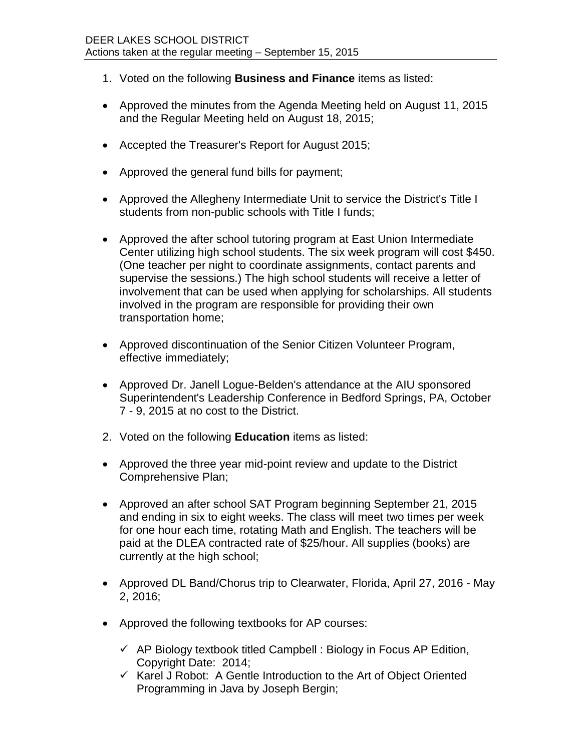- 1. Voted on the following **Business and Finance** items as listed:
- Approved the minutes from the Agenda Meeting held on August 11, 2015 and the Regular Meeting held on August 18, 2015;
- Accepted the Treasurer's Report for August 2015;
- Approved the general fund bills for payment;
- Approved the Allegheny Intermediate Unit to service the District's Title I students from non-public schools with Title I funds;
- Approved the after school tutoring program at East Union Intermediate Center utilizing high school students. The six week program will cost \$450. (One teacher per night to coordinate assignments, contact parents and supervise the sessions.) The high school students will receive a letter of involvement that can be used when applying for scholarships. All students involved in the program are responsible for providing their own transportation home;
- Approved discontinuation of the Senior Citizen Volunteer Program, effective immediately;
- Approved Dr. Janell Logue-Belden's attendance at the AIU sponsored Superintendent's Leadership Conference in Bedford Springs, PA, October 7 - 9, 2015 at no cost to the District.
- 2. Voted on the following **Education** items as listed:
- Approved the three year mid-point review and update to the District Comprehensive Plan;
- Approved an after school SAT Program beginning September 21, 2015 and ending in six to eight weeks. The class will meet two times per week for one hour each time, rotating Math and English. The teachers will be paid at the DLEA contracted rate of \$25/hour. All supplies (books) are currently at the high school;
- Approved DL Band/Chorus trip to Clearwater, Florida, April 27, 2016 May 2, 2016;
- Approved the following textbooks for AP courses:
	- $\checkmark$  AP Biology textbook titled Campbell : Biology in Focus AP Edition, Copyright Date: 2014;
	- $\checkmark$  Karel J Robot: A Gentle Introduction to the Art of Object Oriented Programming in Java by Joseph Bergin;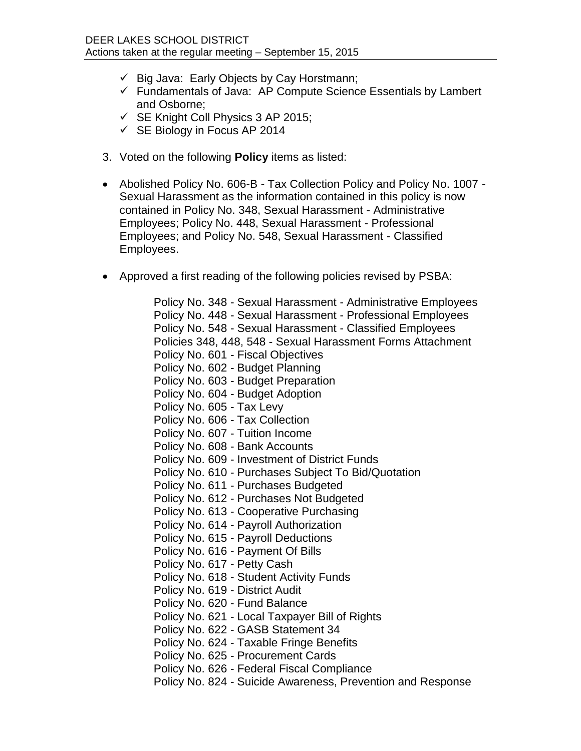- $\checkmark$  Big Java: Early Objects by Cay Horstmann;
- $\checkmark$  Fundamentals of Java: AP Compute Science Essentials by Lambert and Osborne;
- $\checkmark$  SE Knight Coll Physics 3 AP 2015;
- $\checkmark$  SE Biology in Focus AP 2014
- 3. Voted on the following **Policy** items as listed:
- Abolished Policy No. 606-B Tax Collection Policy and Policy No. 1007 Sexual Harassment as the information contained in this policy is now contained in Policy No. 348, Sexual Harassment - Administrative Employees; Policy No. 448, Sexual Harassment - Professional Employees; and Policy No. 548, Sexual Harassment - Classified Employees.
- Approved a first reading of the following policies revised by PSBA:

Policy No. 348 - Sexual Harassment - Administrative Employees Policy No. 448 - Sexual Harassment - Professional Employees Policy No. 548 - Sexual Harassment - Classified Employees Policies 348, 448, 548 - Sexual Harassment Forms Attachment Policy No. 601 - Fiscal Objectives Policy No. 602 - Budget Planning Policy No. 603 - Budget Preparation Policy No. 604 - Budget Adoption Policy No. 605 - Tax Levy Policy No. 606 - Tax Collection Policy No. 607 - Tuition Income Policy No. 608 - Bank Accounts Policy No. 609 - Investment of District Funds Policy No. 610 - Purchases Subject To Bid/Quotation Policy No. 611 - Purchases Budgeted Policy No. 612 - Purchases Not Budgeted Policy No. 613 - Cooperative Purchasing Policy No. 614 - Payroll Authorization Policy No. 615 - Payroll Deductions Policy No. 616 - Payment Of Bills Policy No. 617 - Petty Cash Policy No. 618 - Student Activity Funds Policy No. 619 - District Audit Policy No. 620 - Fund Balance Policy No. 621 - Local Taxpayer Bill of Rights Policy No. 622 - GASB Statement 34 Policy No. 624 - Taxable Fringe Benefits Policy No. 625 - Procurement Cards Policy No. 626 - Federal Fiscal Compliance

Policy No. 824 - Suicide Awareness, Prevention and Response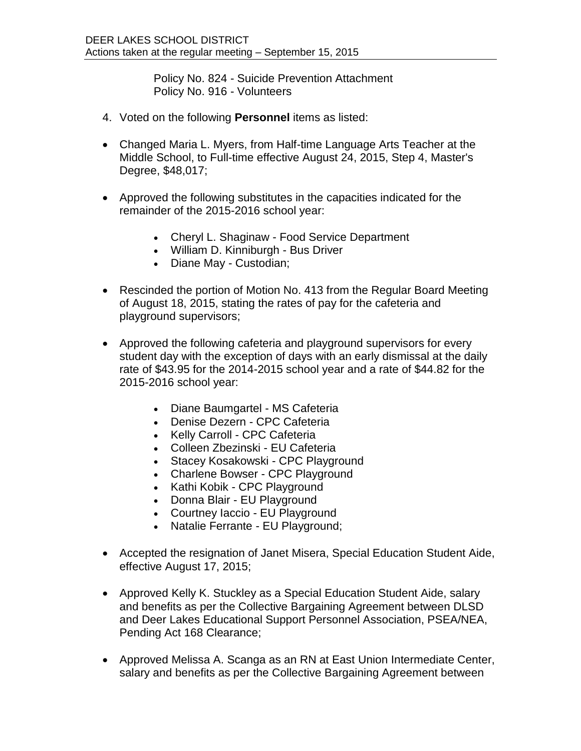Policy No. 824 - Suicide Prevention Attachment Policy No. 916 - Volunteers

- 4. Voted on the following **Personnel** items as listed:
- Changed Maria L. Myers, from Half-time Language Arts Teacher at the Middle School, to Full-time effective August 24, 2015, Step 4, Master's Degree, \$48,017;
- Approved the following substitutes in the capacities indicated for the remainder of the 2015-2016 school year:
	- Cheryl L. Shaginaw Food Service Department
	- William D. Kinniburgh Bus Driver
	- Diane May Custodian;
- Rescinded the portion of Motion No. 413 from the Regular Board Meeting of August 18, 2015, stating the rates of pay for the cafeteria and playground supervisors;
- Approved the following cafeteria and playground supervisors for every student day with the exception of days with an early dismissal at the daily rate of \$43.95 for the 2014-2015 school year and a rate of \$44.82 for the 2015-2016 school year:
	- Diane Baumgartel MS Cafeteria
	- Denise Dezern CPC Cafeteria
	- Kelly Carroll CPC Cafeteria
	- Colleen Zbezinski EU Cafeteria
	- Stacey Kosakowski CPC Playground
	- Charlene Bowser CPC Playground
	- Kathi Kobik CPC Playground
	- Donna Blair EU Playground
	- Courtney Iaccio EU Playground
	- Natalie Ferrante EU Playground;
- Accepted the resignation of Janet Misera, Special Education Student Aide, effective August 17, 2015;
- Approved Kelly K. Stuckley as a Special Education Student Aide, salary and benefits as per the Collective Bargaining Agreement between DLSD and Deer Lakes Educational Support Personnel Association, PSEA/NEA, Pending Act 168 Clearance;
- Approved Melissa A. Scanga as an RN at East Union Intermediate Center, salary and benefits as per the Collective Bargaining Agreement between